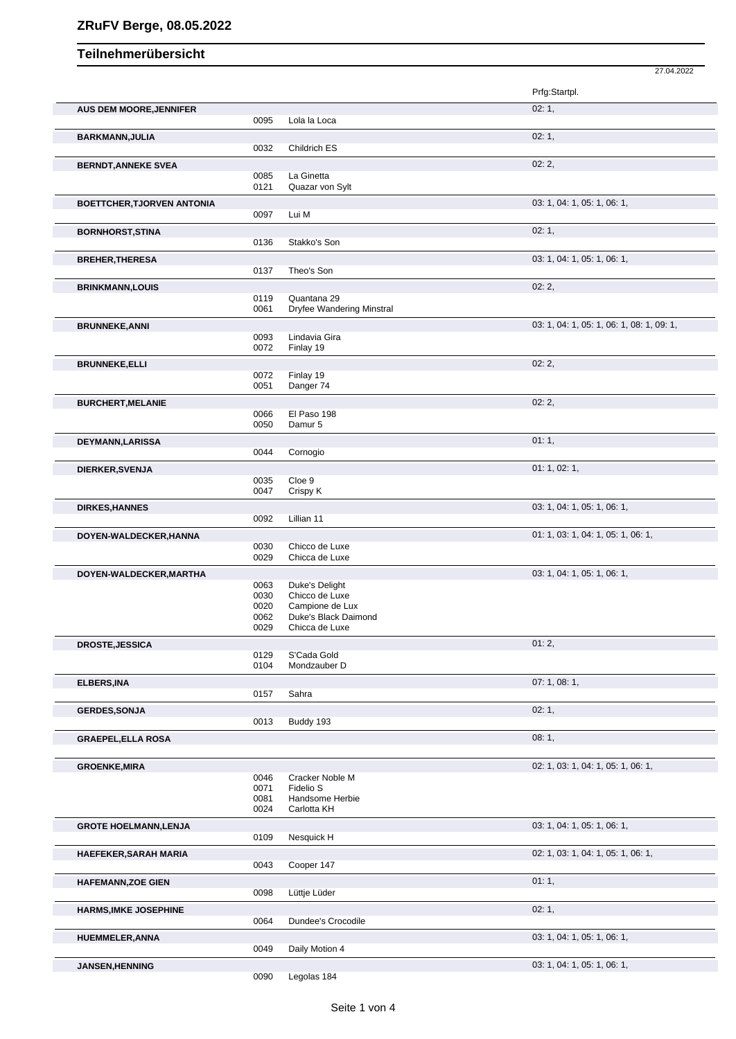## Teilnehmerübersicht

|                                   |              |                                                 | 27.04.2022                                |
|-----------------------------------|--------------|-------------------------------------------------|-------------------------------------------|
|                                   |              |                                                 | Prfg:Startpl.                             |
| <b>AUS DEM MOORE, JENNIFER</b>    |              |                                                 | 02:1,                                     |
|                                   | 0095         | Lola la Loca                                    |                                           |
| <b>BARKMANN, JULIA</b>            |              |                                                 | 02:1,                                     |
|                                   | 0032         | Childrich ES                                    |                                           |
|                                   |              |                                                 | 02:2,                                     |
| <b>BERNDT, ANNEKE SVEA</b>        | 0085         | La Ginetta                                      |                                           |
|                                   | 0121         | Quazar von Sylt                                 |                                           |
| <b>BOETTCHER, TJORVEN ANTONIA</b> |              |                                                 | 03: 1, 04: 1, 05: 1, 06: 1,               |
|                                   | 0097         | Lui M                                           |                                           |
| <b>BORNHORST, STINA</b>           |              |                                                 | 02:1,                                     |
|                                   | 0136         | Stakko's Son                                    |                                           |
|                                   |              |                                                 |                                           |
| <b>BREHER, THERESA</b>            | 0137         | Theo's Son                                      | 03: 1, 04: 1, 05: 1, 06: 1,               |
|                                   |              |                                                 |                                           |
| <b>BRINKMANN,LOUIS</b>            |              |                                                 | 02:2,                                     |
|                                   | 0119<br>0061 | Quantana 29<br><b>Dryfee Wandering Minstral</b> |                                           |
|                                   |              |                                                 |                                           |
| <b>BRUNNEKE, ANNI</b>             |              |                                                 | 03: 1, 04: 1, 05: 1, 06: 1, 08: 1, 09: 1, |
|                                   | 0093<br>0072 | Lindavia Gira<br>Finlay 19                      |                                           |
|                                   |              |                                                 |                                           |
| <b>BRUNNEKE, ELLI</b>             | 0072         | Finlay 19                                       | 02:2,                                     |
|                                   | 0051         | Danger 74                                       |                                           |
|                                   |              |                                                 | 02:2,                                     |
| <b>BURCHERT, MELANIE</b>          | 0066         | El Paso 198                                     |                                           |
|                                   | 0050         | Damur 5                                         |                                           |
|                                   |              |                                                 |                                           |
| <b>DEYMANN,LARISSA</b>            | 0044         | Cornogio                                        | 01:1,                                     |
|                                   |              |                                                 |                                           |
| DIERKER, SVENJA                   |              |                                                 | 01: 1, 02: 1,                             |
|                                   | 0035<br>0047 | Cloe 9<br>Crispy K                              |                                           |
|                                   |              |                                                 |                                           |
| <b>DIRKES, HANNES</b>             |              |                                                 | 03: 1, 04: 1, 05: 1, 06: 1,               |
|                                   | 0092         | Lillian 11                                      |                                           |
| DOYEN-WALDECKER, HANNA            |              |                                                 | 01: 1, 03: 1, 04: 1, 05: 1, 06: 1,        |
|                                   | 0030<br>0029 | Chicco de Luxe                                  |                                           |
|                                   |              | Chicca de Luxe                                  |                                           |
| DOYEN-WALDECKER, MARTHA           |              |                                                 | 03: 1, 04: 1, 05: 1, 06: 1,               |
|                                   | 0063<br>0030 | Duke's Delight<br>Chicco de Luxe                |                                           |
|                                   | 0020         | Campione de Lux                                 |                                           |
|                                   | 0062         | Duke's Black Daimond                            |                                           |
|                                   | 0029         | Chicca de Luxe                                  |                                           |
| DROSTE, JESSICA                   |              |                                                 | 01:2,                                     |
|                                   | 0129         | S'Cada Gold                                     |                                           |
|                                   | 0104         | Mondzauber D                                    |                                           |
| <b>ELBERS, INA</b>                |              |                                                 | 07:1,08:1,                                |
|                                   | 0157         | Sahra                                           |                                           |
| <b>GERDES, SONJA</b>              |              |                                                 | 02:1,                                     |
|                                   | 0013         | Buddy 193                                       |                                           |
| <b>GRAEPEL, ELLA ROSA</b>         |              |                                                 | 08:1,                                     |
|                                   |              |                                                 |                                           |
|                                   |              |                                                 |                                           |
| <b>GROENKE, MIRA</b>              |              |                                                 | 02: 1, 03: 1, 04: 1, 05: 1, 06: 1,        |
|                                   | 0046<br>0071 | Cracker Noble M<br>Fidelio S                    |                                           |
|                                   | 0081         | Handsome Herbie                                 |                                           |
|                                   | 0024         | Carlotta KH                                     |                                           |
| <b>GROTE HOELMANN, LENJA</b>      |              |                                                 | 03: 1, 04: 1, 05: 1, 06: 1,               |
|                                   | 0109         | Nesquick H                                      |                                           |
|                                   |              |                                                 | 02: 1, 03: 1, 04: 1, 05: 1, 06: 1,        |
| <b>HAEFEKER, SARAH MARIA</b>      | 0043         | Cooper 147                                      |                                           |
|                                   |              |                                                 |                                           |
| <b>HAFEMANN, ZOE GIEN</b>         |              |                                                 | 01:1,                                     |
|                                   | 0098         | Lüttje Lüder                                    |                                           |
| <b>HARMS, IMKE JOSEPHINE</b>      |              |                                                 | 02:1,                                     |
|                                   | 0064         | Dundee's Crocodile                              |                                           |
| <b>HUEMMELER, ANNA</b>            |              |                                                 | 03: 1, 04: 1, 05: 1, 06: 1,               |
|                                   | 0049         | Daily Motion 4                                  |                                           |
| JANSEN, HENNING                   |              |                                                 | 03: 1, 04: 1, 05: 1, 06: 1,               |
|                                   | 0090         | Legolas 184                                     |                                           |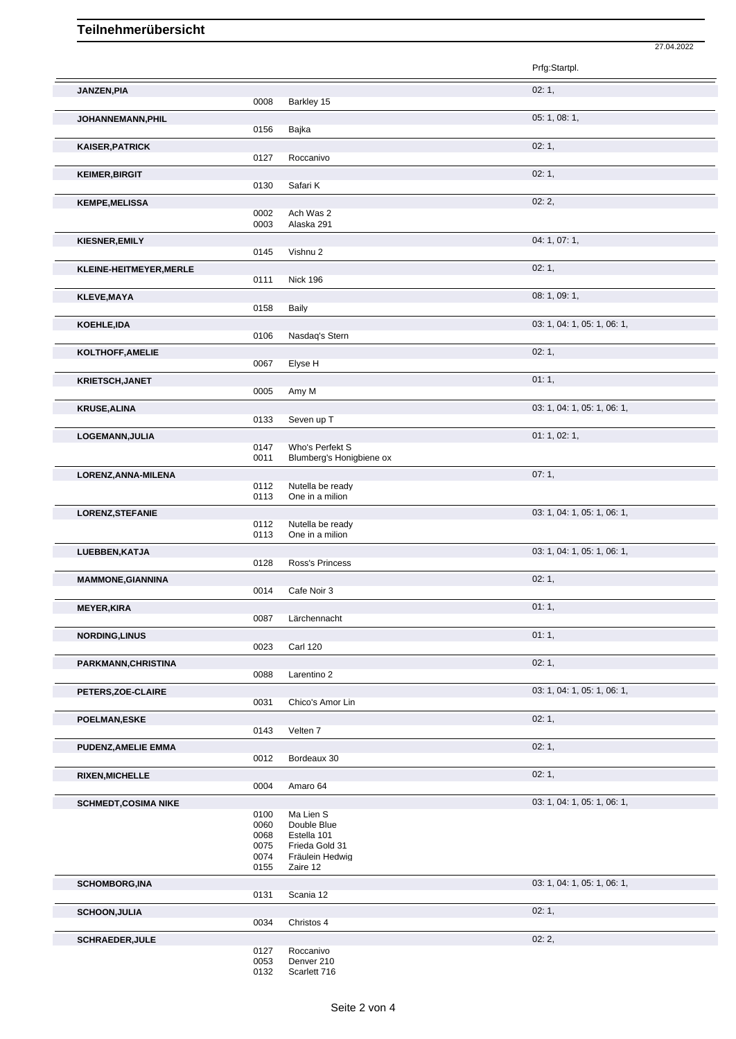## **Teilnehmerübersicht**

|                            |              |                            | Prfg:Startpl.               |
|----------------------------|--------------|----------------------------|-----------------------------|
| JANZEN, PIA                |              |                            | 02:1,                       |
|                            | 0008         | Barkley 15                 |                             |
| JOHANNEMANN, PHIL          |              |                            | 05: 1, 08: 1,               |
|                            | 0156         | Bajka                      |                             |
| <b>KAISER, PATRICK</b>     |              |                            | 02:1,                       |
|                            | 0127         | Roccanivo                  |                             |
|                            |              |                            | 02:1,                       |
| <b>KEIMER, BIRGIT</b>      | 0130         | Safari K                   |                             |
|                            |              |                            | 02:2,                       |
| <b>KEMPE, MELISSA</b>      | 0002         | Ach Was 2                  |                             |
|                            | 0003         | Alaska 291                 |                             |
| KIESNER, EMILY             |              |                            | 04: 1, 07: 1,               |
|                            | 0145         | Vishnu 2                   |                             |
|                            |              |                            | 02:1,                       |
| KLEINE-HEITMEYER, MERLE    | 0111         | <b>Nick 196</b>            |                             |
|                            |              |                            |                             |
| <b>KLEVE, MAYA</b>         | 0158         | Baily                      | 08: 1, 09: 1,               |
|                            |              |                            |                             |
| KOEHLE, IDA                |              |                            | 03: 1, 04: 1, 05: 1, 06: 1, |
|                            | 0106         | Nasdaq's Stern             |                             |
| KOLTHOFF, AMELIE           |              |                            | 02:1,                       |
|                            | 0067         | Elyse H                    |                             |
| <b>KRIETSCH, JANET</b>     |              |                            | 01:1,                       |
|                            | 0005         | Amy M                      |                             |
| <b>KRUSE, ALINA</b>        |              |                            | 03: 1, 04: 1, 05: 1, 06: 1, |
|                            | 0133         | Seven up T                 |                             |
| LOGEMANN, JULIA            |              |                            | 01: 1, 02: 1,               |
|                            | 0147         | Who's Perfekt S            |                             |
|                            | 0011         | Blumberg's Honigbiene ox   |                             |
| LORENZ, ANNA-MILENA        |              |                            | 07:1,                       |
|                            | 0112         | Nutella be ready           |                             |
|                            | 0113         | One in a milion            |                             |
| <b>LORENZ, STEFANIE</b>    |              |                            | 03: 1, 04: 1, 05: 1, 06: 1, |
|                            | 0112         | Nutella be ready           |                             |
|                            | 0113         | One in a milion            |                             |
| LUEBBEN, KATJA             |              |                            | 03: 1, 04: 1, 05: 1, 06: 1, |
|                            | 0128         | Ross's Princess            |                             |
| <b>MAMMONE, GIANNINA</b>   |              |                            | 02:1,                       |
|                            | 0014         | Cafe Noir 3                |                             |
| <b>MEYER, KIRA</b>         |              |                            | 01:1,                       |
|                            | 0087         | Lärchennacht               |                             |
| <b>NORDING, LINUS</b>      |              |                            | 01:1,                       |
|                            | 0023         | <b>Carl 120</b>            |                             |
| PARKMANN, CHRISTINA        |              |                            | 02:1,                       |
|                            | 0088         | Larentino 2                |                             |
|                            |              |                            | 03: 1, 04: 1, 05: 1, 06: 1, |
| PETERS, ZOE-CLAIRE         | 0031         | Chico's Amor Lin           |                             |
|                            |              |                            |                             |
| POELMAN,ESKE               | 0143         | Velten 7                   | 02:1,                       |
|                            |              |                            |                             |
| <b>PUDENZ, AMELIE EMMA</b> |              |                            | 02:1,                       |
|                            | 0012         | Bordeaux 30                |                             |
| <b>RIXEN, MICHELLE</b>     |              |                            | 02:1,                       |
|                            | 0004         | Amaro 64                   |                             |
| <b>SCHMEDT,COSIMA NIKE</b> |              |                            | 03: 1, 04: 1, 05: 1, 06: 1, |
|                            | 0100         | Ma Lien S                  |                             |
|                            | 0060<br>0068 | Double Blue<br>Estella 101 |                             |
|                            | 0075         | Frieda Gold 31             |                             |
|                            | 0074         | Fräulein Hedwig            |                             |
|                            | 0155         | Zaire 12                   |                             |
| <b>SCHOMBORG, INA</b>      |              |                            | 03: 1, 04: 1, 05: 1, 06: 1, |
|                            | 0131         | Scania 12                  |                             |
|                            |              |                            |                             |
|                            |              |                            |                             |
| <b>SCHOON, JULIA</b>       | 0034         |                            | 02:1,                       |
|                            |              | Christos 4                 |                             |
| <b>SCHRAEDER, JULE</b>     | 0127         | Roccanivo                  | 02:2,                       |

27.04.2022

0132 Scarlett 716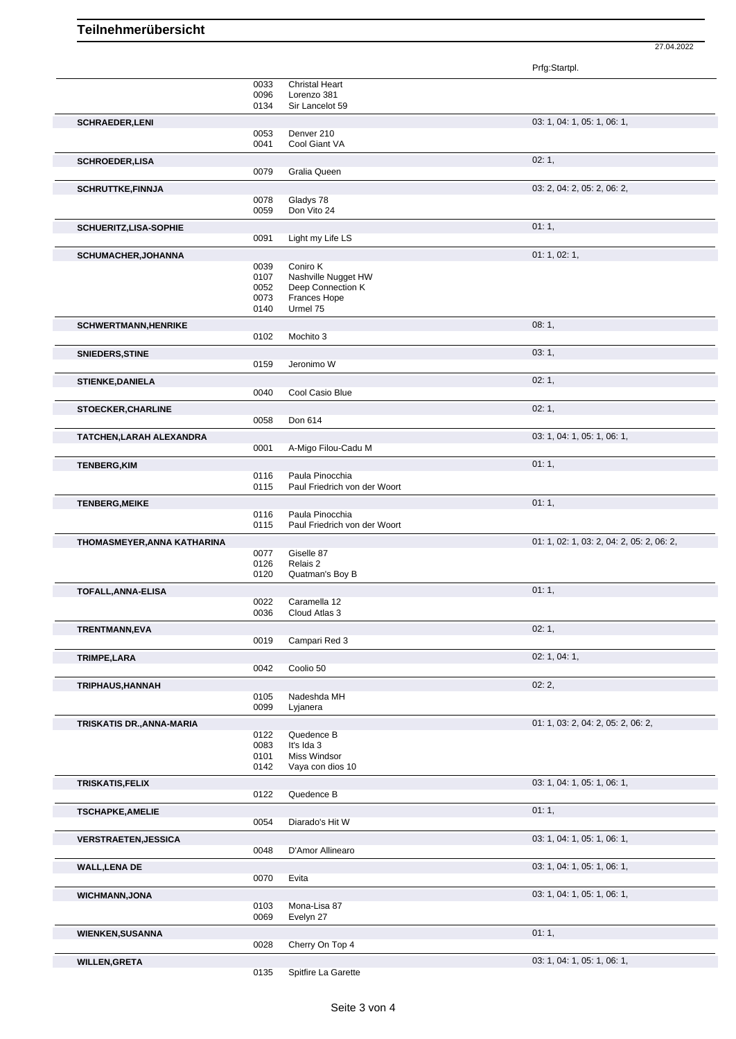27.04.2022

|                              |              |                                      | Prfg:Startpl.                             |
|------------------------------|--------------|--------------------------------------|-------------------------------------------|
|                              | 0033<br>0096 | <b>Christal Heart</b><br>Lorenzo 381 |                                           |
|                              | 0134         | Sir Lancelot 59                      |                                           |
| <b>SCHRAEDER,LENI</b>        |              |                                      | 03: 1, 04: 1, 05: 1, 06: 1,               |
|                              | 0053         | Denver 210                           |                                           |
|                              | 0041         | Cool Giant VA                        |                                           |
| <b>SCHROEDER,LISA</b>        | 0079         | Gralia Queen                         | 02:1,                                     |
|                              |              |                                      |                                           |
| <b>SCHRUTTKE,FINNJA</b>      | 0078         | Gladys 78                            | 03: 2, 04: 2, 05: 2, 06: 2,               |
|                              | 0059         | Don Vito 24                          |                                           |
| <b>SCHUERITZ,LISA-SOPHIE</b> |              |                                      | 01:1,                                     |
|                              | 0091         | Light my Life LS                     |                                           |
| <b>SCHUMACHER, JOHANNA</b>   |              |                                      | 01: 1, 02: 1,                             |
|                              | 0039<br>0107 | Coniro K<br>Nashville Nugget HW      |                                           |
|                              | 0052         | Deep Connection K                    |                                           |
|                              | 0073<br>0140 | Frances Hope<br>Urmel 75             |                                           |
|                              |              |                                      |                                           |
| <b>SCHWERTMANN, HENRIKE</b>  | 0102         | Mochito 3                            | 08:1,                                     |
| SNIEDERS, STINE              |              |                                      | 03:1,                                     |
|                              | 0159         | Jeronimo W                           |                                           |
| <b>STIENKE, DANIELA</b>      |              |                                      | 02:1,                                     |
|                              | 0040         | Cool Casio Blue                      |                                           |
| <b>STOECKER, CHARLINE</b>    |              |                                      | 02:1,                                     |
|                              | 0058         | Don 614                              |                                           |
| TATCHEN, LARAH ALEXANDRA     |              |                                      | 03: 1, 04: 1, 05: 1, 06: 1,               |
|                              | 0001         | A-Migo Filou-Cadu M                  |                                           |
| <b>TENBERG, KIM</b>          | 0116         | Paula Pinocchia                      | 01:1,                                     |
|                              | 0115         | Paul Friedrich von der Woort         |                                           |
| <b>TENBERG, MEIKE</b>        |              |                                      | 01:1,                                     |
|                              | 0116         | Paula Pinocchia                      |                                           |
|                              | 0115         | Paul Friedrich von der Woort         |                                           |
| THOMASMEYER, ANNA KATHARINA  |              | Giselle 87                           | 01: 1, 02: 1, 03: 2, 04: 2, 05: 2, 06: 2, |
|                              | 0077<br>0126 | Relais 2                             |                                           |
|                              | 0120         | Quatman's Boy B                      |                                           |
| TOFALL, ANNA-ELISA           |              |                                      | 01:1,                                     |
|                              | 0022<br>0036 | Caramella 12<br>Cloud Atlas 3        |                                           |
|                              |              |                                      | 02:1,                                     |
| TRENTMANN, EVA               | 0019         | Campari Red 3                        |                                           |
| TRIMPE, LARA                 |              |                                      | 02: 1, 04: 1,                             |
|                              | 0042         | Coolio 50                            |                                           |
| TRIPHAUS, HANNAH             |              |                                      | 02:2,                                     |
|                              | 0105         | Nadeshda MH                          |                                           |
|                              | 0099         | Lyjanera                             |                                           |
| TRISKATIS DR., ANNA-MARIA    | 0122         | Quedence B                           | 01: 1, 03: 2, 04: 2, 05: 2, 06: 2,        |
|                              | 0083         | It's Ida 3                           |                                           |
|                              | 0101         | Miss Windsor                         |                                           |
|                              | 0142         | Vaya con dios 10                     |                                           |
| <b>TRISKATIS, FELIX</b>      | 0122         | Quedence B                           | 03: 1, 04: 1, 05: 1, 06: 1,               |
|                              |              |                                      |                                           |
| <b>TSCHAPKE, AMELIE</b>      | 0054         | Diarado's Hit W                      | 01:1,                                     |
| <b>VERSTRAETEN, JESSICA</b>  |              |                                      | 03: 1, 04: 1, 05: 1, 06: 1,               |
|                              | 0048         | D'Amor Allinearo                     |                                           |
| <b>WALL, LENA DE</b>         |              |                                      | 03: 1, 04: 1, 05: 1, 06: 1,               |
|                              | 0070         | Evita                                |                                           |
| <b>WICHMANN, JONA</b>        |              |                                      | 03: 1, 04: 1, 05: 1, 06: 1,               |
|                              | 0103         | Mona-Lisa 87                         |                                           |
|                              | 0069         | Evelyn 27                            |                                           |
| <b>WIENKEN, SUSANNA</b>      | 0028         | Cherry On Top 4                      | 01:1,                                     |
|                              |              |                                      |                                           |
| <b>WILLEN, GRETA</b>         | 0135         | Spitfire La Garette                  | 03: 1, 04: 1, 05: 1, 06: 1,               |
|                              |              |                                      |                                           |